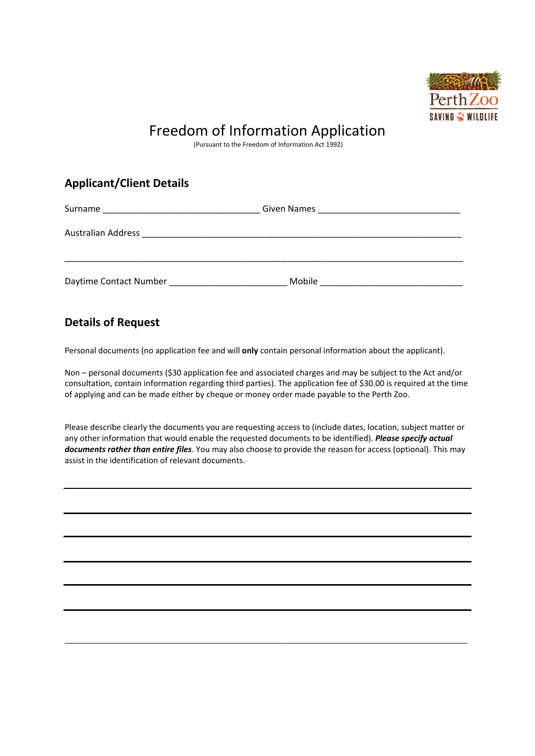

## Freedom of Information Application

(Pursuant to the Freedom of Information Act 1992)

## **Applicant/Client Details**

| Surname                   | Given Names |  |
|---------------------------|-------------|--|
| <b>Australian Address</b> |             |  |
|                           |             |  |
| Daytime Contact Number    | Mobile      |  |

## **Details of Request**

Personal documents (no application fee and will **only** contain personal information about the applicant).

Non – personal documents (\$30 application fee and associated charges and may be subject to the Act and/or consultation, contain information regarding third parties). The application fee of \$30.00 is required at the time of applying and can be made either by cheque or money order made payable to the Perth Zoo.

Please describe clearly the documents you are requesting access to (include dates, location, subject matter or any other information that would enable the requested documents to be identified). *Please specify actual documents rather than entire files*. You may also choose to provide the reason for access (optional). This may assist in the identification of relevant documents.

\_\_\_\_\_\_\_\_\_\_\_\_\_\_\_\_\_\_\_\_\_\_\_\_\_\_\_\_\_\_\_\_\_\_\_\_\_\_\_\_\_\_\_\_\_\_\_\_\_\_\_\_\_\_\_\_\_\_\_\_\_\_\_\_\_\_\_\_\_\_\_\_\_\_\_\_\_\_\_\_\_\_\_\_\_\_\_\_\_\_\_\_\_\_\_\_\_\_\_\_